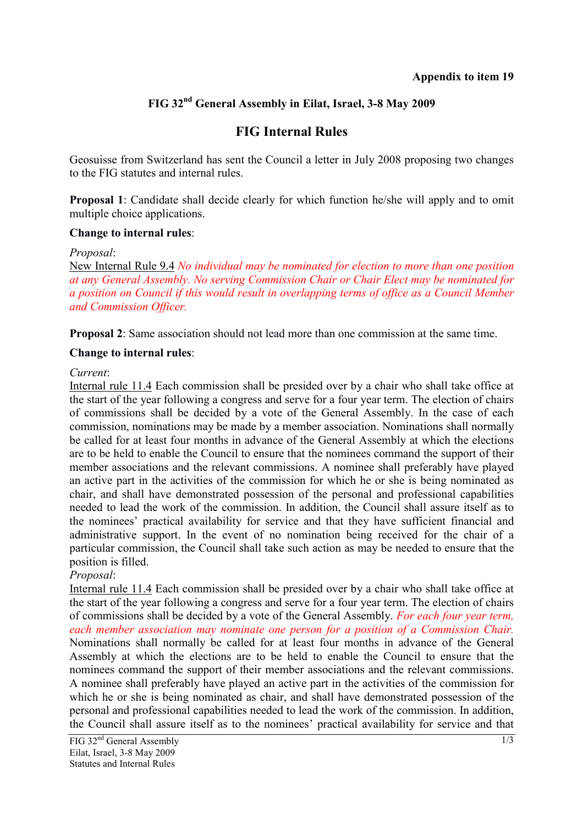## **FIG 32nd General Assembly in Eilat, Israel, 3-8 May 2009**

# **FIG Internal Rules**

Geosuisse from Switzerland has sent the Council a letter in July 2008 proposing two changes to the FIG statutes and internal rules.

**Proposal 1**: Candidate shall decide clearly for which function he/she will apply and to omit multiple choice applications.

#### **Change to internal rules**:

*Proposal*:

New Internal Rule 9.4 *No individual may be nominated for election to more than one position at any General Assembly. No serving Commission Chair or Chair Elect may be nominated for a position on Council if this would result in overlapping terms of office as a Council Member and Commission Officer.* 

**Proposal 2**: Same association should not lead more than one commission at the same time.

#### **Change to internal rules**:

#### *Current*:

Internal rule 11.4 Each commission shall be presided over by a chair who shall take office at the start of the year following a congress and serve for a four year term. The election of chairs of commissions shall be decided by a vote of the General Assembly. In the case of each commission, nominations may be made by a member association. Nominations shall normally be called for at least four months in advance of the General Assembly at which the elections are to be held to enable the Council to ensure that the nominees command the support of their member associations and the relevant commissions. A nominee shall preferably have played an active part in the activities of the commission for which he or she is being nominated as chair, and shall have demonstrated possession of the personal and professional capabilities needed to lead the work of the commission. In addition, the Council shall assure itself as to the nominees' practical availability for service and that they have sufficient financial and administrative support. In the event of no nomination being received for the chair of a particular commission, the Council shall take such action as may be needed to ensure that the position is filled.

*Proposal*:

Internal rule 11.4 Each commission shall be presided over by a chair who shall take office at the start of the year following a congress and serve for a four year term. The election of chairs of commissions shall be decided by a vote of the General Assembly. *For each four year term, each member association may nominate one person for a position of a Commission Chair.*  Nominations shall normally be called for at least four months in advance of the General Assembly at which the elections are to be held to enable the Council to ensure that the nominees command the support of their member associations and the relevant commissions. A nominee shall preferably have played an active part in the activities of the commission for which he or she is being nominated as chair, and shall have demonstrated possession of the personal and professional capabilities needed to lead the work of the commission. In addition, the Council shall assure itself as to the nominees' practical availability for service and that